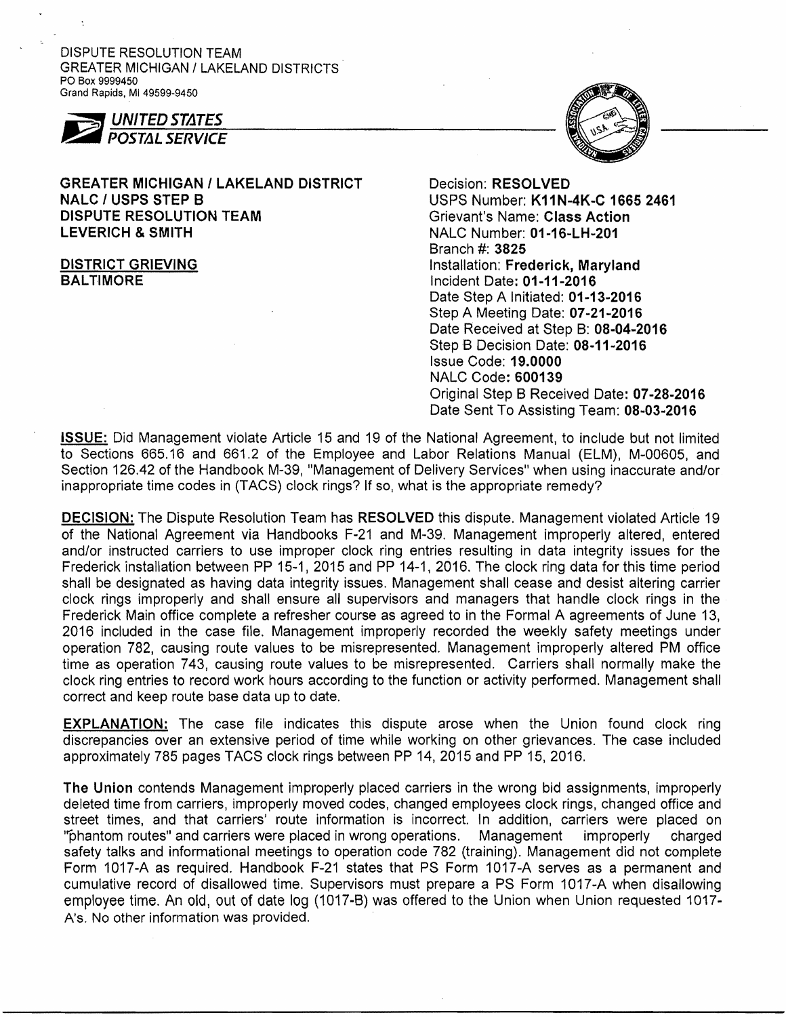DISPUTE RESOLUTION TEAM GREATER MICHIGAN / LAKELAND DISTRICTS' PO Box 9999450 Grand Rapids. MI 49599-9450



# GREATER MICHIGAN / LAKELAND DISTRICT Decision: RESOLVED NALC / USPS STEP B USPS Number: K11N-4K-C 1665 2461 DISPUTE RESOLUTION TEAM Grievant's Name: Class Action LEVERICH & SMITH NALC Number: 01-16-LH-201

Branch #: 3825 DISTRICT GRIEVING **Installation: Frederick, Maryland** BALTIMORE **Incident Date: 01-11-2016** Date Step A Initiated: 01-13-2016 Step A Meeting Date: 07-21-2016 Date Received at Step B: 08-04-2016 Step B Decision Date: 08-11-2016 Issue Code: 19.0000 NALC Code: 600139 Original Step B Received Date: 07-28-2016 Date Sent To Assisting Team: 08-03-2016

ISSUE: Did Management violate Article 15 and 19 of the National Agreement, to include but not limited to Sections 665.16 and 661.2 of the Employee and Labor Relations Manual (ELM), M-00605, and Section 126.42 of the Handbook M-39, "Management of Delivery Services" when using inaccurate and/or inappropriate time codes in (TACS) clock rings? If so, what is the appropriate remedy?

DECISION: The Dispute Resolution Team has RESOLVED this dispute. Management violated Article 19 of the National Agreement via Handbooks F-21 and M-39. Management improperly altered, entered and/or instructed carriers to use improper clock ring entries resulting in data integrity issues for the Frederick installation between PP 15-1, 2015 and PP 14-1, 2016. The clock ring data for this time period shall be designated as having data integrity issues. Management shall cease and desist altering carrier clock rings improperly and shall ensure all supervisors and managers that handle clock rings in the Frederick Main office complete a refresher course as agreed to in the Formal A agreements of June 13, 2016 included in the case file. Management improperly recorded the weekly safety meetings under operation 782, causing route values to be misrepresented. Management improperly altered PM office time as operation 743, causing route values to be misrepresented. Carriers shall normally make the clock ring entries to record work hours according to the function or activity performed. Management shall correct and keep route base data up to date.

EXPLANATION: The case file indicates this dispute arose when the Union found clock ring discrepancies over an extensive period of time while working on other grievances. The case included approximately 785 pages TACS clock rings between PP 14,2015 and PP 15,2016.

The Union contends Management improperly placed carriers in the wrong bid assignments, improperly deleted time from carriers, improperly moved codes, changed employees clock rings, changed office and street times, and that carriers' route information is incorrect. In addition, carriers were placed on It""phantom routes" and carriers were placed in wrong operations. Management improperly charged safety talks and informational meetings to operation code 782 (training). Management did not complete Form 1017-A as required. Handbook F-21 states that PS Form 1017-A serves as a permanent and cumulative record of disallowed time. Supervisors must prepare a PS Form 1017 -A when disallowing employee time. An old, out of date log (1017-8) was offered to the Union when Union requested 1017 A's. No other information was provided.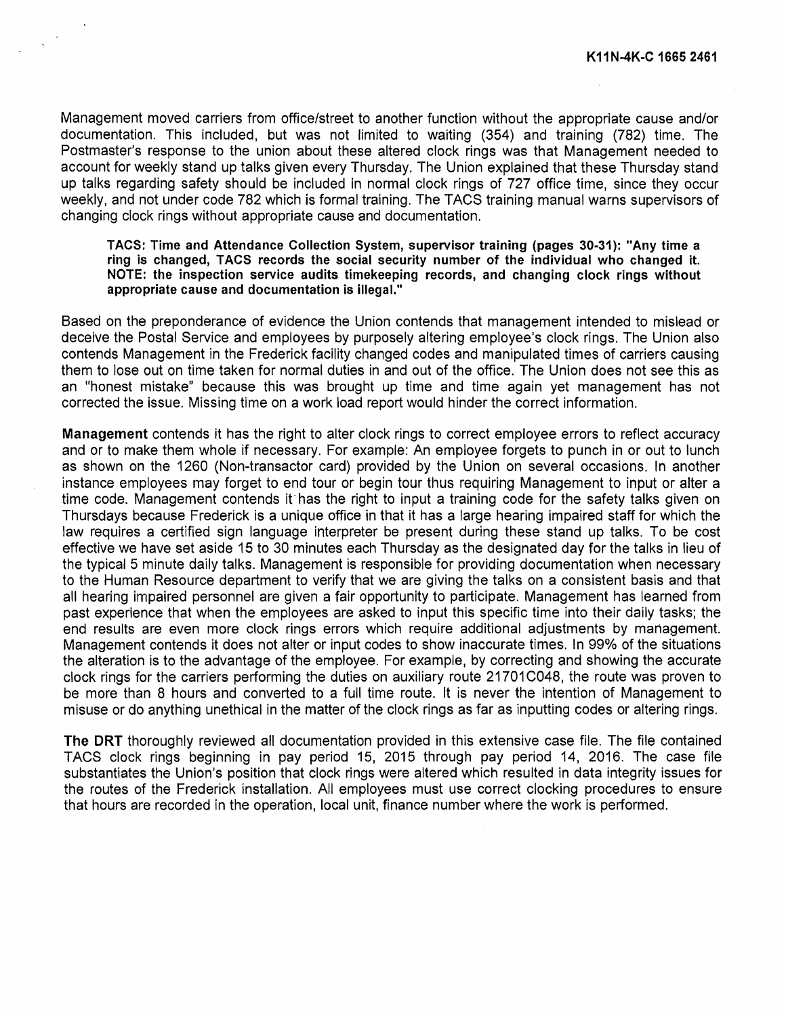Management moved carriers from office/street to another function without the appropriate cause and/or documentation. This included, but was not limited to waiting (354) and training (782) time. The Postmaster's response to the union about these altered clock rings was that Management needed to account for weekly stand up talks given every Thursday. The Union explained that these Thursday stand up talks regarding safety should be included in normal clock rings of 727 office time, since they occur weekly, and not under code 782 which is formal training. The TACS training manual warns supervisors of changing clock rings without appropriate cause and documentation.

## TACS: Time and Attendance Collection System, supervisor training (pages 30-31): "Any time a ring is changed, TACS records the social security number of the individual who changed it. NOTE: the inspection service audits timekeeping records, and changing clock rings without appropriate cause and documentation is illegal."

Based on the preponderance of evidence the Union contends that management intended to mislead or deceive the Postal Service and employees by purposely altering employee's clock rings. The Union also contends Management in the Frederick facility changed codes and manipulated times of carriers causing them to lose out on time taken for normal duties in and out of the office. The Union does not see this as an "honest mistake" because this was brought up time and time again yet management has not corrected the issue. MisSing time on a work load report would hinder the correct information.

Management contends it has the right to alter clock rings to correct employee errors to reflect accuracy and or to make them whole if necessary. For example: An employee forgets to punch in or out to lunch as shown on the 1260 (Non-transactor card) provided by the Union on several occasions. In another instance employees may forget to end tour or begin tour thus requiring Management to input or alter a time code. Management contends if has the right to input a training code for the safety talks given on Thursdays because Frederick is a unique office in that it has a large hearing impaired staff for which the law requires a certified sign language interpreter be present during these stand up talks. To be cost effective we have set aside 15 to 30 minutes each Thursday as the designated day for the talks in lieu of the typical 5 minute daily talks. Management is responsible for providing documentation when necessary to the Human Resource department to verify that we are giving the talks on a consistent basis and that all hearing impaired personnel are given a fair opportunity to participate. Management has learned from past experience that when the employees are asked to input this specific time into their daily tasks; the end results are even more clock rings errors which require additional adjustments by management. Management contends it does not alter or input codes to show inaccurate times. In 99% of the situations the alteration is to the advantage of the employee. For example, by correcting and showing the accurate clock rings for the carriers performing the duties on auxiliary route 21701 C048, the route was proven to be more than 8 hours and converted to a full time route. It is never the intention of Management to misuse or do anything unethical in the matter of the clock rings as far as inputting codes or altering rings.

The DRT thoroughly reviewed all documentation provided in this extensive case file. The file contained TACS clock rings beginning in pay period 15, 2015 through pay period 14, 2016. The case file substantiates the Union's position that clock rings were altered which resulted in data integrity issues for the routes of the Frederick installation. All employees must use correct clocking procedures to ensure that hours are recorded in the operation, local unit, finance number where the work is performed.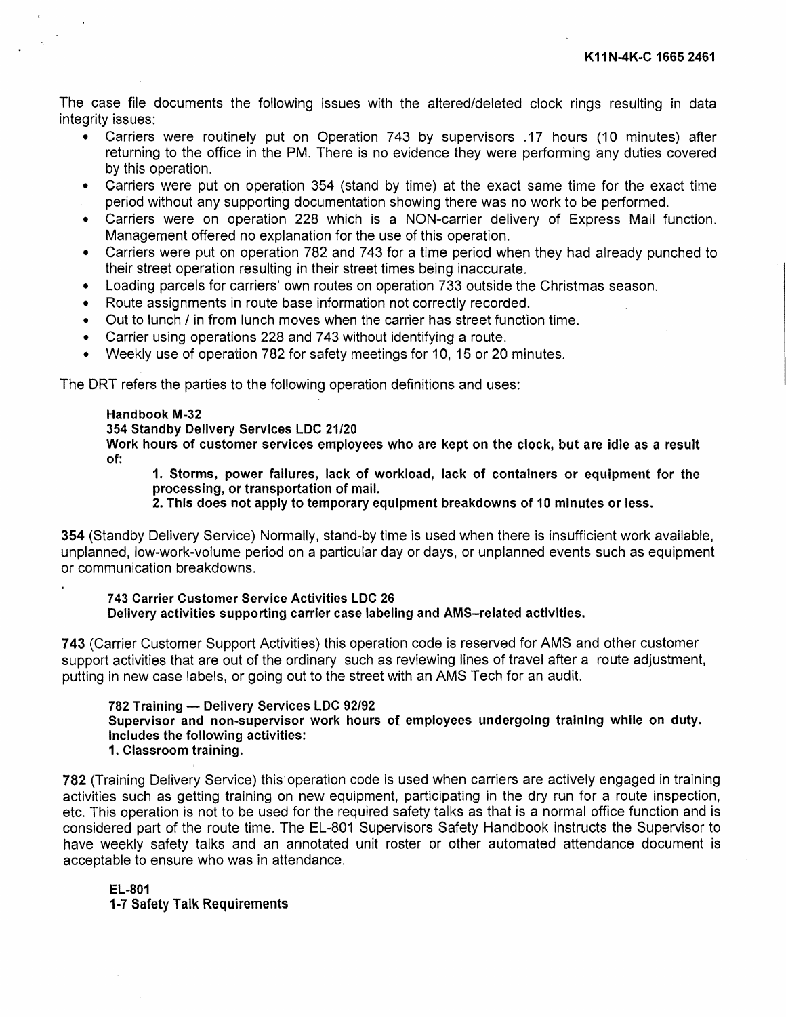The case file documents the following issues with the altered/deleted clock rings resulting in data integrity issues:

- Carriers were routinely put on Operation 743 by supervisors .17 hours (10 minutes) after returning to the office in the PM. There is no evidence they were performing any duties covered by this operation.
- Carriers were put on operation 354 (stand by time) at the exact same time for the exact time period without any supporting documentation showing there was no work to be performed.
- Carriers were on operation 228 which is a NON-carrier delivery of Express Mail function. Management offered no explanation for the use of this operation.
- Carriers were put on operation 782 and 743 for a time period when they had already punched to their street operation resulting in their street times being inaccurate.
- Loading parcels for carriers' own routes on operation 733 outside the Christmas season.
- Route assignments in route base information not correctly recorded.
- Out to lunch / in from lunch moves when the carrier has street function time.
- Carrier using operations 228 and 743 without identifying a route.
- Weekly use of operation 782 for safety meetings for 10, 15 or 20 minutes.

The DRT refers the parties to the following operation definitions and uses:

### Handbook M-32

### 354 Standby Delivery Services LDC *21/20*

Work hours of customer services employees who are kept on the clock, but are idle as a result of:

1. Storms, power failures, lack of workload, lack of containers or equipment for the processing, or transportation of mail.

2. This does not apply to temporary equipment breakdowns of 10 minutes or less.

354 (Standby Delivery Service) Normally, stand-by time is used when there is insufficient work available, unplanned, low-work-volume period on a particular day or days, or unplanned events such as equipment or communication breakdowns.

743 Carrier Customer Service Activities LDC 26 Delivery activities supporting carrier case labeling and AMS-related activities.

743 (Carrier Customer Support Activities) this operation code is reserved for AMS and other customer support activities that are out of the ordinary such as reviewing lines of travel after a route adjustment, putting in new case labels, or going out to the street with an AMS Tech for an audit.

782 Training - Delivery Services LDC *92/92* 

Supervisor and non-supervisor work hours of employees undergoing training while on duty. Includes the following activities:

1. Classroom training.

782 (Training Delivery Service) this operation code is used when carriers are actively engaged in training activities such as getting training on new equipment, participating in the dry run for a route inspection, etc. This operation is not to be used for the required safety talks as that is a normal office function and is considered part of the route time. The EL-801 Supervisors Safety Handbook instructs the Supervisor to have weekly safety talks and an annotated unit roster or other automated attendance document is acceptable to ensure who was in attendance.

EL-801 1-7 Safety Talk Requirements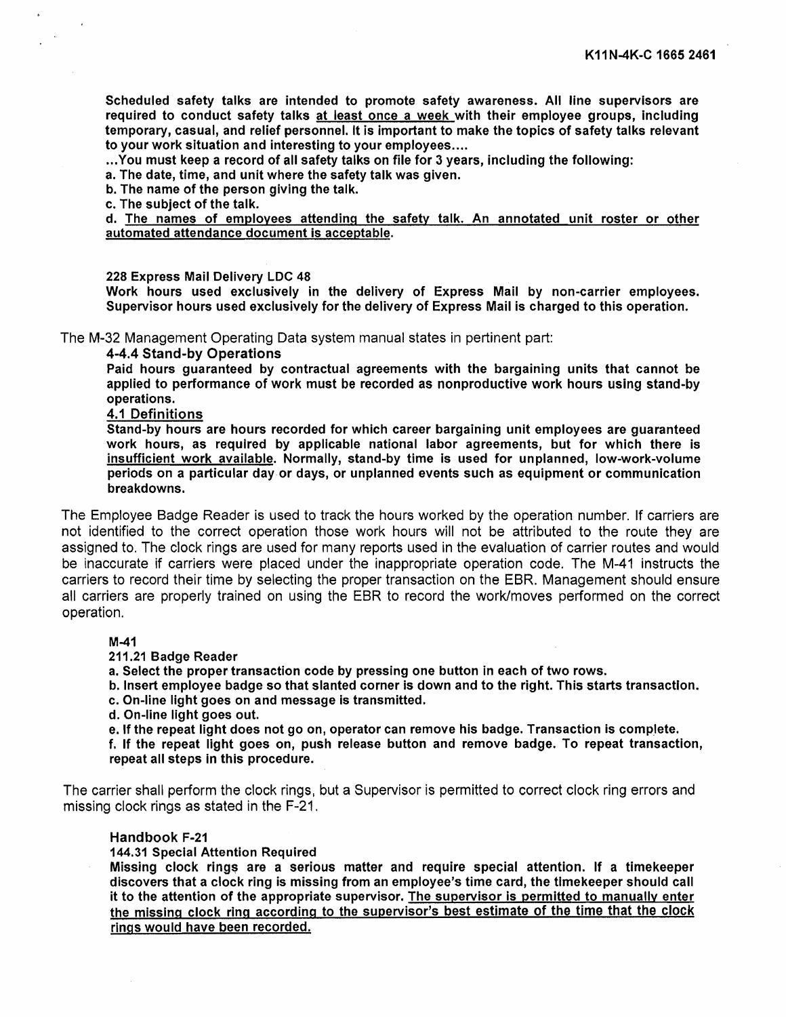Scheduled safety talks are intended to promote safety awareness. All line supervisors are required to conduct safety talks at least once a week with their employee groups, including temporary, casual, and relief personnel. It is important to make the topics of safety talks relevant to your work situation and interesting to your employees ....

... You must keep a record of all safety talks on file for 3 years, including the following:

a. The date, time, and unit where the safety talk was given.

b. The name of the person giving the talk.

c. The subject of the talk.

d. The names of employees attending the safety talk. An annotated unit roster or other automated attendance document is acceptable.

## 228 Express Mail Delivery LDC 48

Work hours used exclusively in the delivery of Express Mail by non-carrier employees. Supervisor hours used exclusively for the delivery of Express Mail is charged to this operation.

The M-32 Management Operating Data system manual states in pertinent part:

## 4-4.4 Stand-by Operations

Paid hours guaranteed by contractual agreements with the bargaining units that cannot be applied to performance of work must be recorded as nonproductive work hours using stand-by operations.

### 4.1 Definitions

Stand-by hours are hours recorded for which career bargaining unit employees are guaranteed work hours, as required by applicable national labor agreements, but for which there is insufficient work available. Normally, stand-by time is used for unplanned, low-work-volume periods on a particular day or days, or unplanned events such as equipment or communication breakdowns.

The Employee Badge Reader is used to track the hours worked by the operation number. If carriers are not identified to the correct operation those work hours will not be attributed to the route they are assigned to. The clock rings are used for many reports used in the evaluation of carrier routes and would be Inaccurate if carriers were placed under the inappropriate operation code. The M-41 instructs the carriers to record their time by selecting the proper transaction on the EBR. Management should ensure all carriers are properly trained on using the EBR to record the work/moves performed on the correct operation.

#### M-41

211.21 Badge Reader

a. Select the proper transaction code by pressing one button in each of two rows.

b. Insert employee badge so that slanted corner is down and to the right. This starts transaction.

- c. On-line light goes on and message is transmitted.
- d. On-line light goes out.

e. If the repeat light does not go on, operator can remove his badge. Transaction is complete.

f. If the repeat light goes on, push release button and remove badge. To repeat transaction, repeat all steps in this procedure.

The carrier shall perform the clock rings, but a Supervisor is permitted to correct clock ring errors and missing clock rings as stated in the F-21.

## Handbook F-21

## 144.31 Special Attention Required

Missing clock rings are a serious matter and require special attention. If a timekeeper discovers that a clock ring is missing from an employee's time card, the timekeeper should call it to the attention of the appropriate supervisor. The supervisor is permitted to manually enter the missing clock ring according to the supervisor's best estimate of the time that the clock rings would have been recorded.